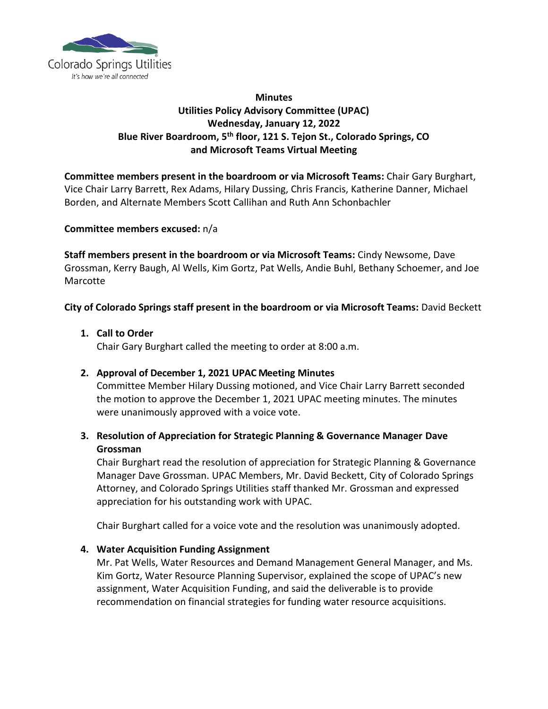

## **Minutes Utilities Policy Advisory Committee (UPAC) Wednesday, January 12, 2022 Blue River Boardroom, 5th floor, 121 S. Tejon St., Colorado Springs, CO and Microsoft Teams Virtual Meeting**

**Committee members present in the boardroom or via Microsoft Teams:** Chair Gary Burghart, Vice Chair Larry Barrett, Rex Adams, Hilary Dussing, Chris Francis, Katherine Danner, Michael Borden, and Alternate Members Scott Callihan and Ruth Ann Schonbachler

#### **Committee members excused:** n/a

**Staff members present in the boardroom or via Microsoft Teams:** Cindy Newsome, Dave Grossman, Kerry Baugh, Al Wells, Kim Gortz, Pat Wells, Andie Buhl, Bethany Schoemer, and Joe Marcotte

#### **City of Colorado Springs staff present in the boardroom or via Microsoft Teams:** David Beckett

**1. Call to Order**

Chair Gary Burghart called the meeting to order at 8:00 a.m.

#### **2. Approval of December 1, 2021 UPAC Meeting Minutes**

Committee Member Hilary Dussing motioned, and Vice Chair Larry Barrett seconded the motion to approve the December 1, 2021 UPAC meeting minutes. The minutes were unanimously approved with a voice vote.

## **3. Resolution of Appreciation for Strategic Planning & Governance Manager Dave Grossman**

Chair Burghart read the resolution of appreciation for Strategic Planning & Governance Manager Dave Grossman. UPAC Members, Mr. David Beckett, City of Colorado Springs Attorney, and Colorado Springs Utilities staff thanked Mr. Grossman and expressed appreciation for his outstanding work with UPAC.

Chair Burghart called for a voice vote and the resolution was unanimously adopted.

#### **4. Water Acquisition Funding Assignment**

Mr. Pat Wells, Water Resources and Demand Management General Manager, and Ms. Kim Gortz, Water Resource Planning Supervisor, explained the scope of UPAC's new assignment, Water Acquisition Funding, and said the deliverable is to provide recommendation on financial strategies for funding water resource acquisitions.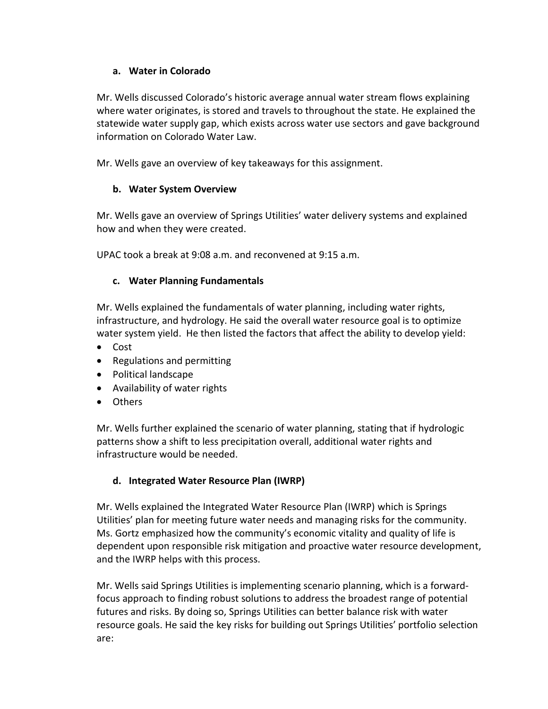## **a. Water in Colorado**

Mr. Wells discussed Colorado's historic average annual water stream flows explaining where water originates, is stored and travels to throughout the state. He explained the statewide water supply gap, which exists across water use sectors and gave background information on Colorado Water Law.

Mr. Wells gave an overview of key takeaways for this assignment.

## **b. Water System Overview**

Mr. Wells gave an overview of Springs Utilities' water delivery systems and explained how and when they were created.

UPAC took a break at 9:08 a.m. and reconvened at 9:15 a.m.

### **c. Water Planning Fundamentals**

Mr. Wells explained the fundamentals of water planning, including water rights, infrastructure, and hydrology. He said the overall water resource goal is to optimize water system yield. He then listed the factors that affect the ability to develop yield:

- Cost
- Regulations and permitting
- Political landscape
- Availability of water rights
- Others

Mr. Wells further explained the scenario of water planning, stating that if hydrologic patterns show a shift to less precipitation overall, additional water rights and infrastructure would be needed.

## **d. Integrated Water Resource Plan (IWRP)**

Mr. Wells explained the Integrated Water Resource Plan (IWRP) which is Springs Utilities' plan for meeting future water needs and managing risks for the community. Ms. Gortz emphasized how the community's economic vitality and quality of life is dependent upon responsible risk mitigation and proactive water resource development, and the IWRP helps with this process.

Mr. Wells said Springs Utilities is implementing scenario planning, which is a forwardfocus approach to finding robust solutions to address the broadest range of potential futures and risks. By doing so, Springs Utilities can better balance risk with water resource goals. He said the key risks for building out Springs Utilities' portfolio selection are: